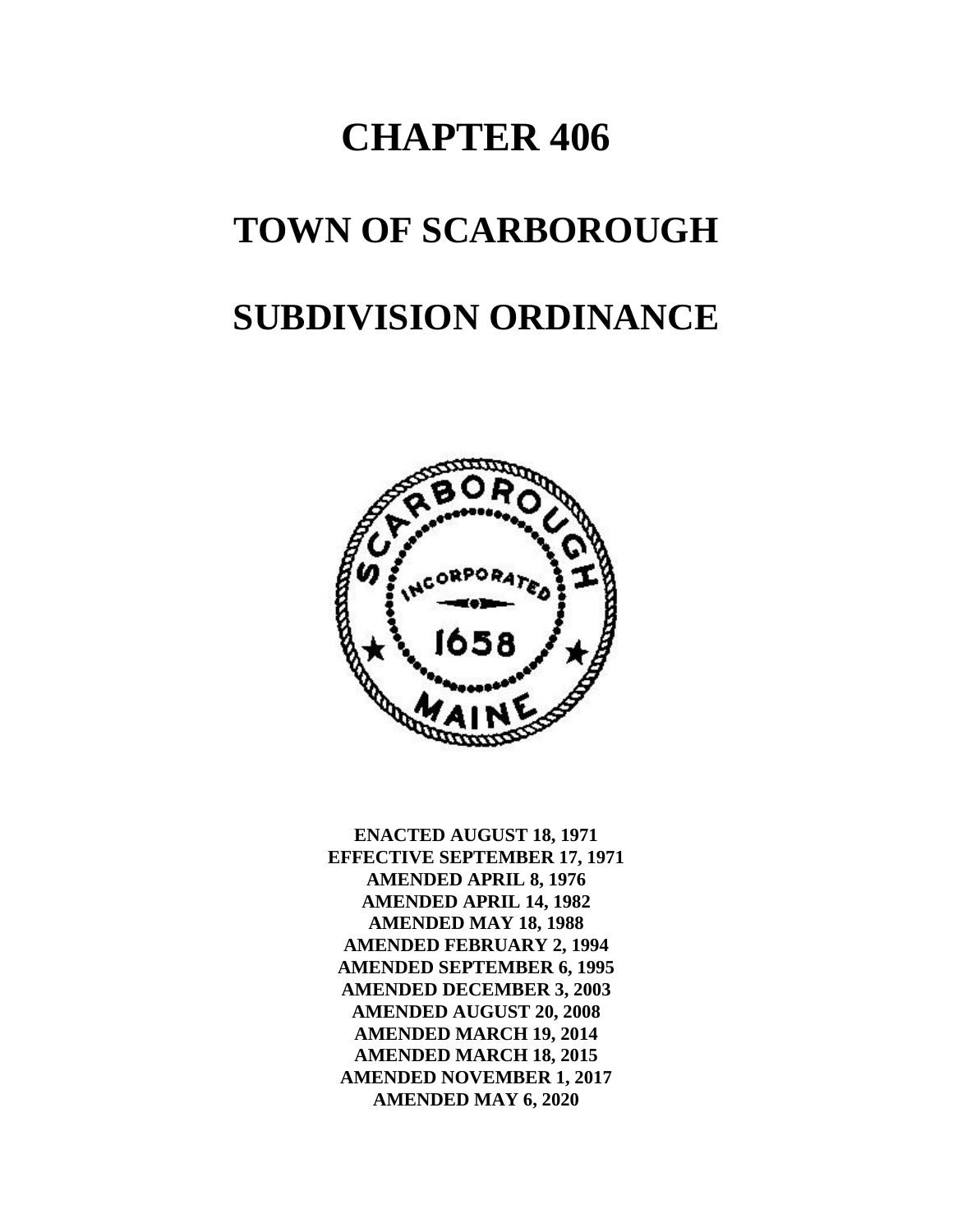# **CHAPTER 406**

## **TOWN OF SCARBOROUGH**

## **SUBDIVISION ORDINANCE**



**ENACTED AUGUST 18, 1971 EFFECTIVE SEPTEMBER 17, 1971 AMENDED APRIL 8, 1976 AMENDED APRIL 14, 1982 AMENDED MAY 18, 1988 AMENDED FEBRUARY 2, 1994 AMENDED SEPTEMBER 6, 1995 AMENDED DECEMBER 3, 2003 AMENDED AUGUST 20, 2008 AMENDED MARCH 19, 2014 AMENDED MARCH 18, 2015 AMENDED NOVEMBER 1, 2017 AMENDED MAY 6, 2020**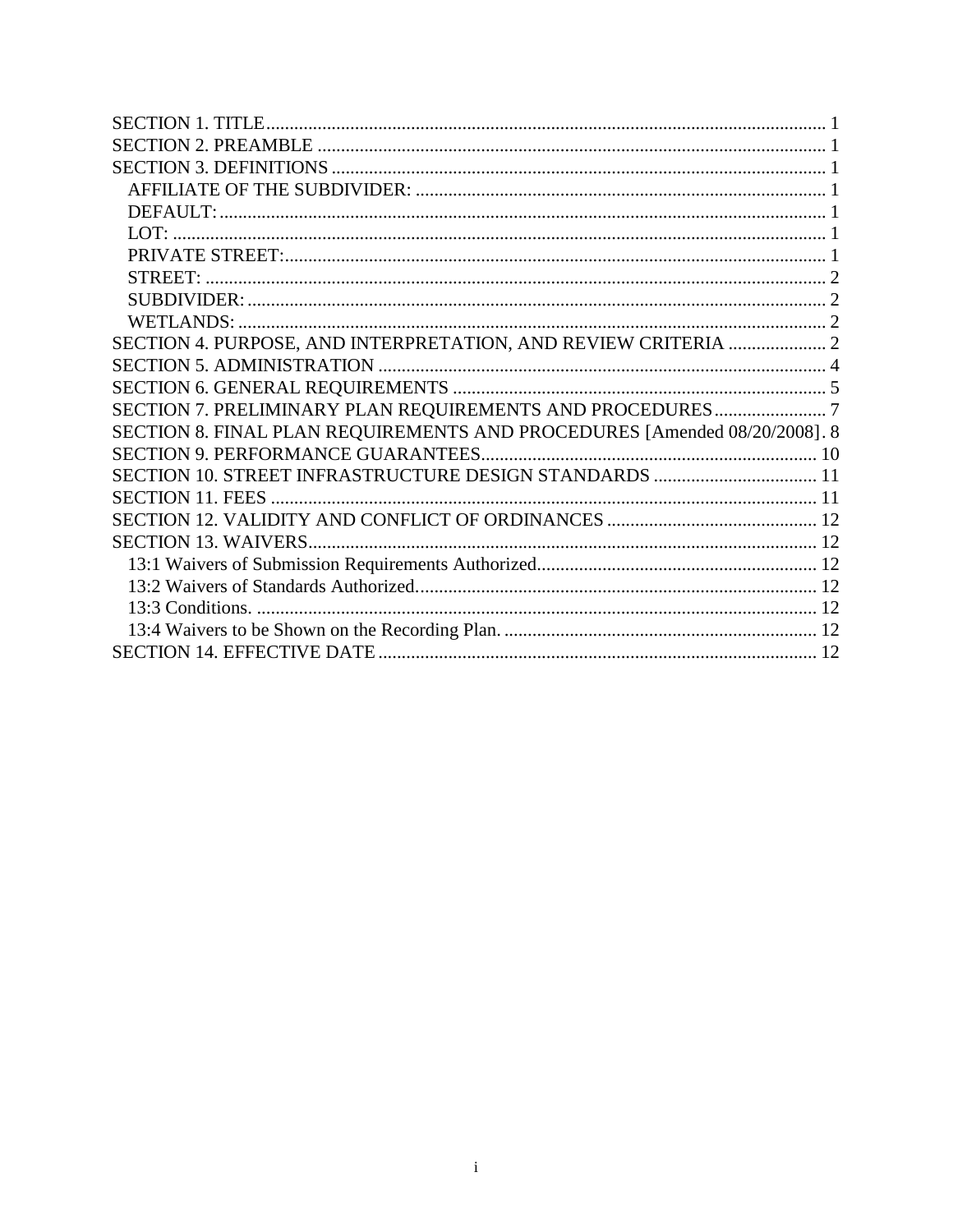| SECTION 4. PURPOSE, AND INTERPRETATION, AND REVIEW CRITERIA  2            |  |
|---------------------------------------------------------------------------|--|
|                                                                           |  |
|                                                                           |  |
| SECTION 7. PRELIMINARY PLAN REQUIREMENTS AND PROCEDURES7                  |  |
| SECTION 8. FINAL PLAN REQUIREMENTS AND PROCEDURES [Amended 08/20/2008]. 8 |  |
|                                                                           |  |
| SECTION 10. STREET INFRASTRUCTURE DESIGN STANDARDS  11                    |  |
|                                                                           |  |
|                                                                           |  |
|                                                                           |  |
|                                                                           |  |
|                                                                           |  |
|                                                                           |  |
|                                                                           |  |
|                                                                           |  |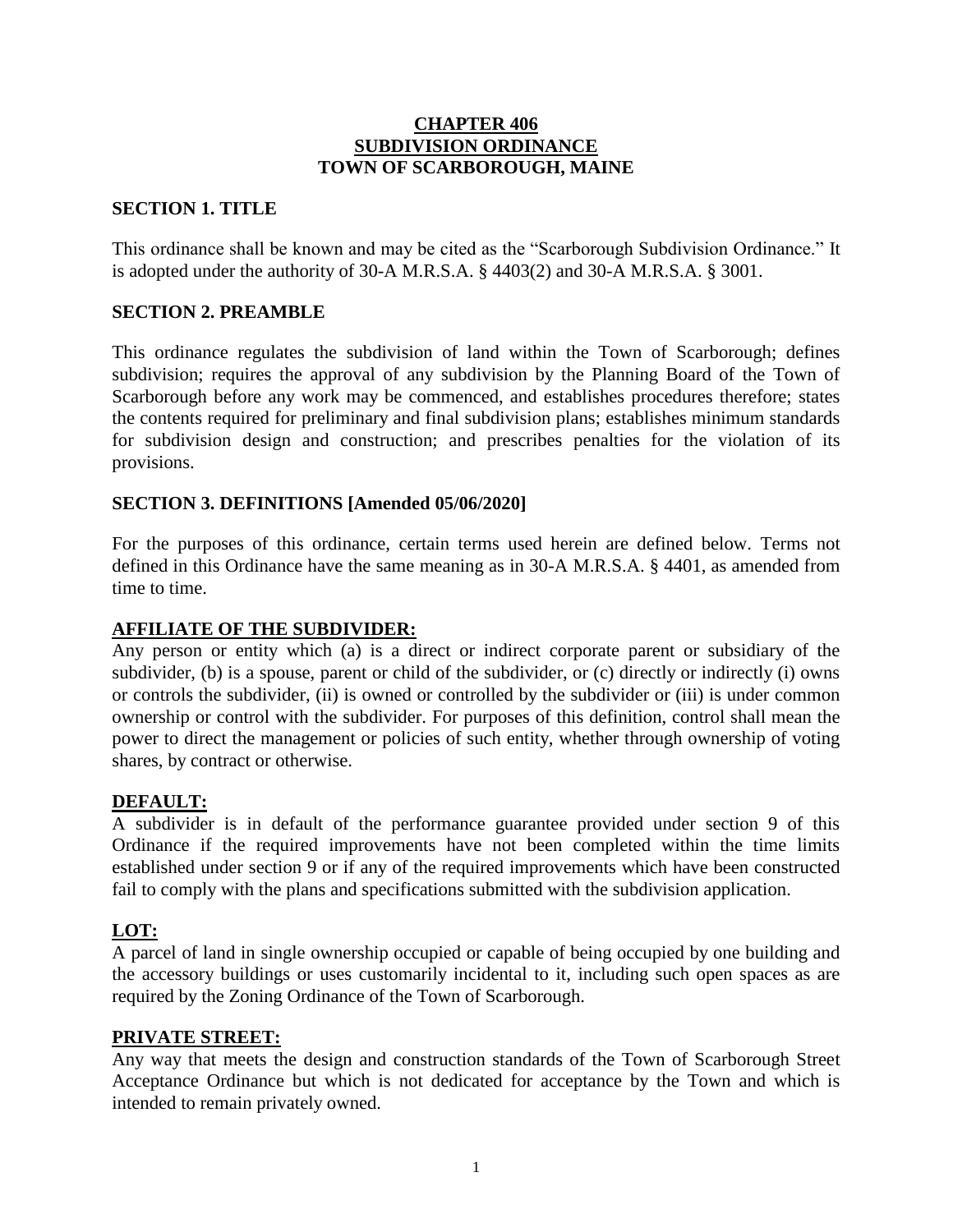#### **CHAPTER 406 SUBDIVISION ORDINANCE TOWN OF SCARBOROUGH, MAINE**

#### <span id="page-2-0"></span>**SECTION 1. TITLE**

This ordinance shall be known and may be cited as the "Scarborough Subdivision Ordinance." It is adopted under the authority of 30-A M.R.S.A. § 4403(2) and 30-A M.R.S.A. § 3001.

#### <span id="page-2-1"></span>**SECTION 2. PREAMBLE**

This ordinance regulates the subdivision of land within the Town of Scarborough; defines subdivision; requires the approval of any subdivision by the Planning Board of the Town of Scarborough before any work may be commenced, and establishes procedures therefore; states the contents required for preliminary and final subdivision plans; establishes minimum standards for subdivision design and construction; and prescribes penalties for the violation of its provisions.

#### <span id="page-2-2"></span>**SECTION 3. DEFINITIONS [Amended 05/06/2020]**

For the purposes of this ordinance, certain terms used herein are defined below. Terms not defined in this Ordinance have the same meaning as in 30-A M.R.S.A. § 4401, as amended from time to time.

#### <span id="page-2-3"></span>**AFFILIATE OF THE SUBDIVIDER:**

Any person or entity which (a) is a direct or indirect corporate parent or subsidiary of the subdivider, (b) is a spouse, parent or child of the subdivider, or (c) directly or indirectly (i) owns or controls the subdivider, (ii) is owned or controlled by the subdivider or (iii) is under common ownership or control with the subdivider. For purposes of this definition, control shall mean the power to direct the management or policies of such entity, whether through ownership of voting shares, by contract or otherwise.

#### <span id="page-2-4"></span>**DEFAULT:**

A subdivider is in default of the performance guarantee provided under section 9 of this Ordinance if the required improvements have not been completed within the time limits established under section 9 or if any of the required improvements which have been constructed fail to comply with the plans and specifications submitted with the subdivision application.

#### <span id="page-2-5"></span>**LOT:**

A parcel of land in single ownership occupied or capable of being occupied by one building and the accessory buildings or uses customarily incidental to it, including such open spaces as are required by the Zoning Ordinance of the Town of Scarborough.

#### <span id="page-2-6"></span>**PRIVATE STREET:**

Any way that meets the design and construction standards of the Town of Scarborough Street Acceptance Ordinance but which is not dedicated for acceptance by the Town and which is intended to remain privately owned.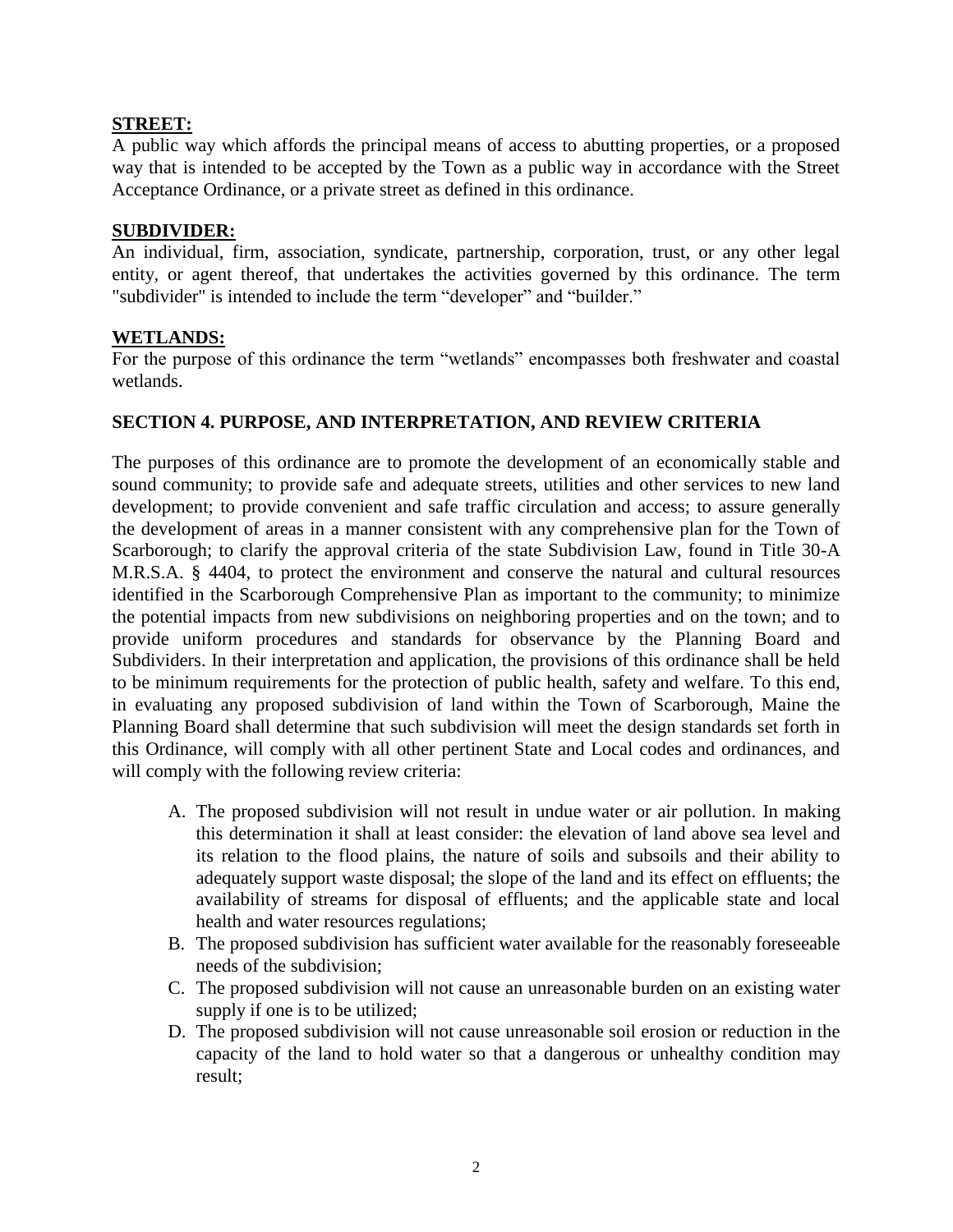#### <span id="page-3-0"></span>**STREET:**

A public way which affords the principal means of access to abutting properties, or a proposed way that is intended to be accepted by the Town as a public way in accordance with the Street Acceptance Ordinance, or a private street as defined in this ordinance.

#### <span id="page-3-1"></span>**SUBDIVIDER:**

An individual, firm, association, syndicate, partnership, corporation, trust, or any other legal entity, or agent thereof, that undertakes the activities governed by this ordinance. The term "subdivider" is intended to include the term "developer" and "builder."

#### <span id="page-3-2"></span>**WETLANDS:**

For the purpose of this ordinance the term "wetlands" encompasses both freshwater and coastal wetlands.

#### <span id="page-3-3"></span>**SECTION 4. PURPOSE, AND INTERPRETATION, AND REVIEW CRITERIA**

The purposes of this ordinance are to promote the development of an economically stable and sound community; to provide safe and adequate streets, utilities and other services to new land development; to provide convenient and safe traffic circulation and access; to assure generally the development of areas in a manner consistent with any comprehensive plan for the Town of Scarborough; to clarify the approval criteria of the state Subdivision Law, found in Title 30-A M.R.S.A. § 4404, to protect the environment and conserve the natural and cultural resources identified in the Scarborough Comprehensive Plan as important to the community; to minimize the potential impacts from new subdivisions on neighboring properties and on the town; and to provide uniform procedures and standards for observance by the Planning Board and Subdividers. In their interpretation and application, the provisions of this ordinance shall be held to be minimum requirements for the protection of public health, safety and welfare. To this end, in evaluating any proposed subdivision of land within the Town of Scarborough, Maine the Planning Board shall determine that such subdivision will meet the design standards set forth in this Ordinance, will comply with all other pertinent State and Local codes and ordinances, and will comply with the following review criteria:

- A. The proposed subdivision will not result in undue water or air pollution. In making this determination it shall at least consider: the elevation of land above sea level and its relation to the flood plains, the nature of soils and subsoils and their ability to adequately support waste disposal; the slope of the land and its effect on effluents; the availability of streams for disposal of effluents; and the applicable state and local health and water resources regulations;
- B. The proposed subdivision has sufficient water available for the reasonably foreseeable needs of the subdivision;
- C. The proposed subdivision will not cause an unreasonable burden on an existing water supply if one is to be utilized;
- D. The proposed subdivision will not cause unreasonable soil erosion or reduction in the capacity of the land to hold water so that a dangerous or unhealthy condition may result;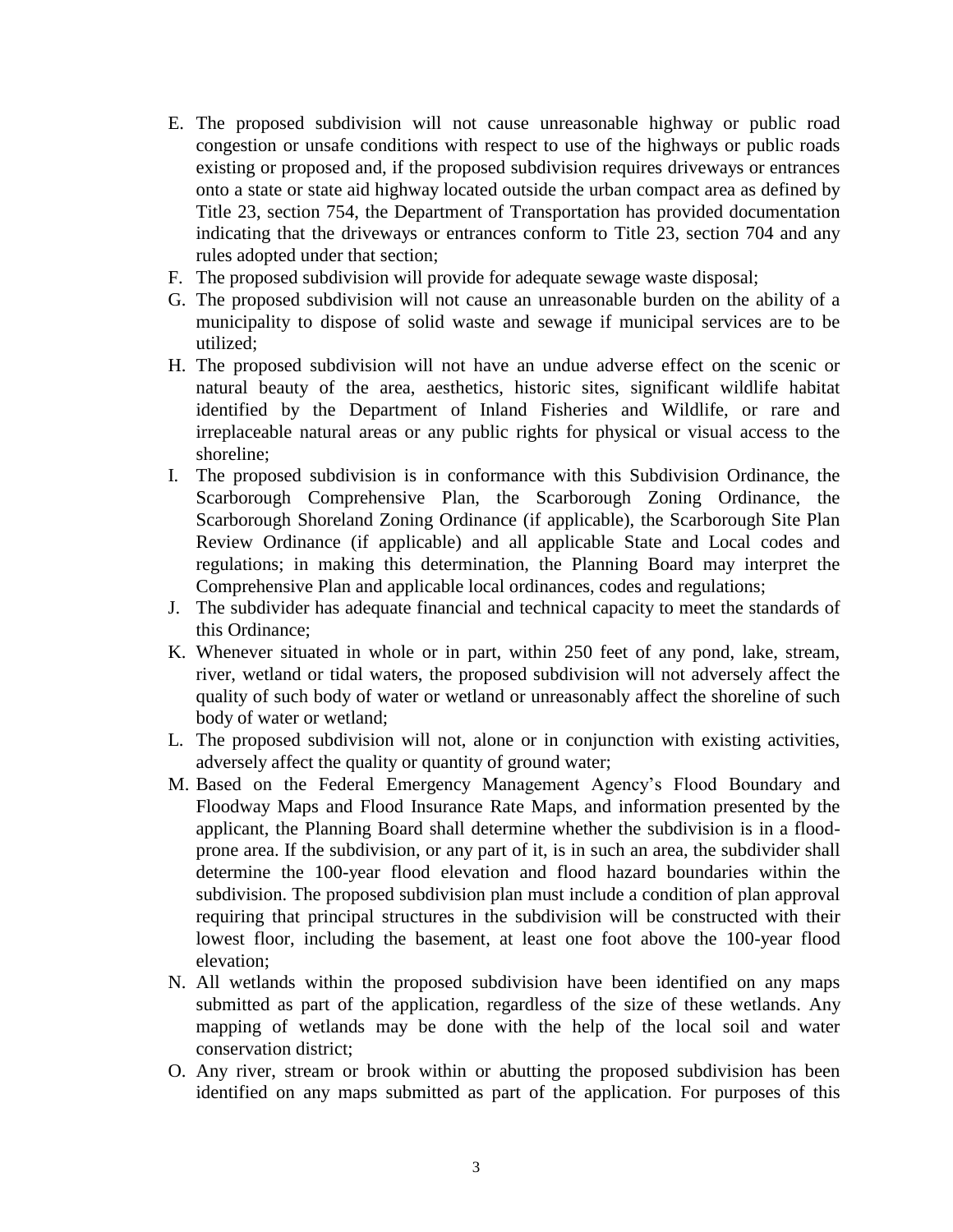- E. The proposed subdivision will not cause unreasonable highway or public road congestion or unsafe conditions with respect to use of the highways or public roads existing or proposed and, if the proposed subdivision requires driveways or entrances onto a state or state aid highway located outside the urban compact area as defined by Title 23, section 754, the Department of Transportation has provided documentation indicating that the driveways or entrances conform to Title 23, section 704 and any rules adopted under that section;
- F. The proposed subdivision will provide for adequate sewage waste disposal;
- G. The proposed subdivision will not cause an unreasonable burden on the ability of a municipality to dispose of solid waste and sewage if municipal services are to be utilized;
- H. The proposed subdivision will not have an undue adverse effect on the scenic or natural beauty of the area, aesthetics, historic sites, significant wildlife habitat identified by the Department of Inland Fisheries and Wildlife, or rare and irreplaceable natural areas or any public rights for physical or visual access to the shoreline;
- I. The proposed subdivision is in conformance with this Subdivision Ordinance, the Scarborough Comprehensive Plan, the Scarborough Zoning Ordinance, the Scarborough Shoreland Zoning Ordinance (if applicable), the Scarborough Site Plan Review Ordinance (if applicable) and all applicable State and Local codes and regulations; in making this determination, the Planning Board may interpret the Comprehensive Plan and applicable local ordinances, codes and regulations;
- J. The subdivider has adequate financial and technical capacity to meet the standards of this Ordinance;
- K. Whenever situated in whole or in part, within 250 feet of any pond, lake, stream, river, wetland or tidal waters, the proposed subdivision will not adversely affect the quality of such body of water or wetland or unreasonably affect the shoreline of such body of water or wetland;
- L. The proposed subdivision will not, alone or in conjunction with existing activities, adversely affect the quality or quantity of ground water;
- M. Based on the Federal Emergency Management Agency's Flood Boundary and Floodway Maps and Flood Insurance Rate Maps, and information presented by the applicant, the Planning Board shall determine whether the subdivision is in a floodprone area. If the subdivision, or any part of it, is in such an area, the subdivider shall determine the 100-year flood elevation and flood hazard boundaries within the subdivision. The proposed subdivision plan must include a condition of plan approval requiring that principal structures in the subdivision will be constructed with their lowest floor, including the basement, at least one foot above the 100-year flood elevation;
- N. All wetlands within the proposed subdivision have been identified on any maps submitted as part of the application, regardless of the size of these wetlands. Any mapping of wetlands may be done with the help of the local soil and water conservation district;
- O. Any river, stream or brook within or abutting the proposed subdivision has been identified on any maps submitted as part of the application. For purposes of this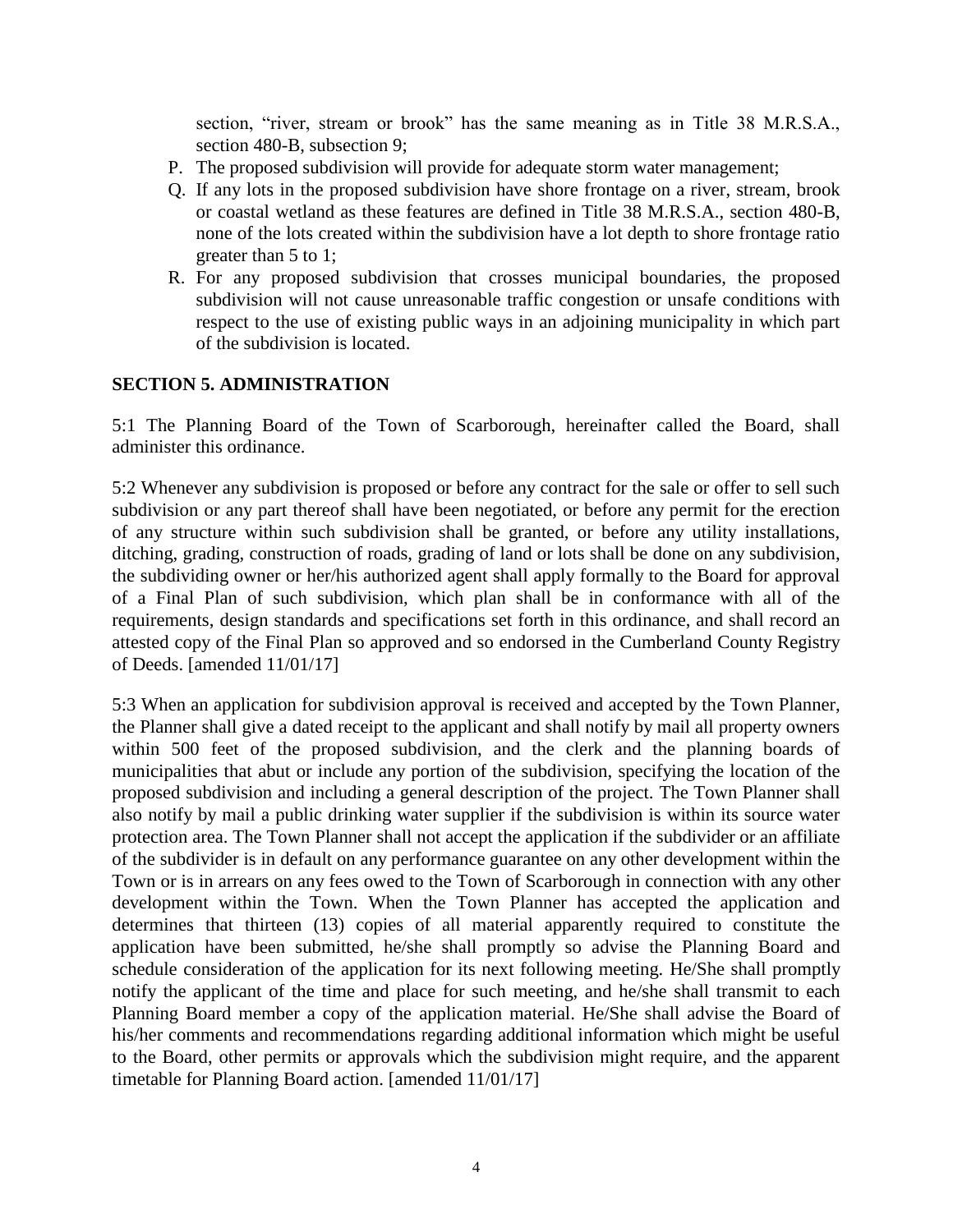section, "river, stream or brook" has the same meaning as in Title 38 M.R.S.A., section 480-B, subsection 9;

- P. The proposed subdivision will provide for adequate storm water management;
- Q. If any lots in the proposed subdivision have shore frontage on a river, stream, brook or coastal wetland as these features are defined in Title 38 M.R.S.A., section 480-B, none of the lots created within the subdivision have a lot depth to shore frontage ratio greater than 5 to 1;
- R. For any proposed subdivision that crosses municipal boundaries, the proposed subdivision will not cause unreasonable traffic congestion or unsafe conditions with respect to the use of existing public ways in an adjoining municipality in which part of the subdivision is located.

#### <span id="page-5-0"></span>**SECTION 5. ADMINISTRATION**

5:1 The Planning Board of the Town of Scarborough, hereinafter called the Board, shall administer this ordinance.

5:2 Whenever any subdivision is proposed or before any contract for the sale or offer to sell such subdivision or any part thereof shall have been negotiated, or before any permit for the erection of any structure within such subdivision shall be granted, or before any utility installations, ditching, grading, construction of roads, grading of land or lots shall be done on any subdivision, the subdividing owner or her/his authorized agent shall apply formally to the Board for approval of a Final Plan of such subdivision, which plan shall be in conformance with all of the requirements, design standards and specifications set forth in this ordinance, and shall record an attested copy of the Final Plan so approved and so endorsed in the Cumberland County Registry of Deeds. [amended 11/01/17]

5:3 When an application for subdivision approval is received and accepted by the Town Planner, the Planner shall give a dated receipt to the applicant and shall notify by mail all property owners within 500 feet of the proposed subdivision, and the clerk and the planning boards of municipalities that abut or include any portion of the subdivision, specifying the location of the proposed subdivision and including a general description of the project. The Town Planner shall also notify by mail a public drinking water supplier if the subdivision is within its source water protection area. The Town Planner shall not accept the application if the subdivider or an affiliate of the subdivider is in default on any performance guarantee on any other development within the Town or is in arrears on any fees owed to the Town of Scarborough in connection with any other development within the Town. When the Town Planner has accepted the application and determines that thirteen (13) copies of all material apparently required to constitute the application have been submitted, he/she shall promptly so advise the Planning Board and schedule consideration of the application for its next following meeting. He/She shall promptly notify the applicant of the time and place for such meeting, and he/she shall transmit to each Planning Board member a copy of the application material. He/She shall advise the Board of his/her comments and recommendations regarding additional information which might be useful to the Board, other permits or approvals which the subdivision might require, and the apparent timetable for Planning Board action. [amended 11/01/17]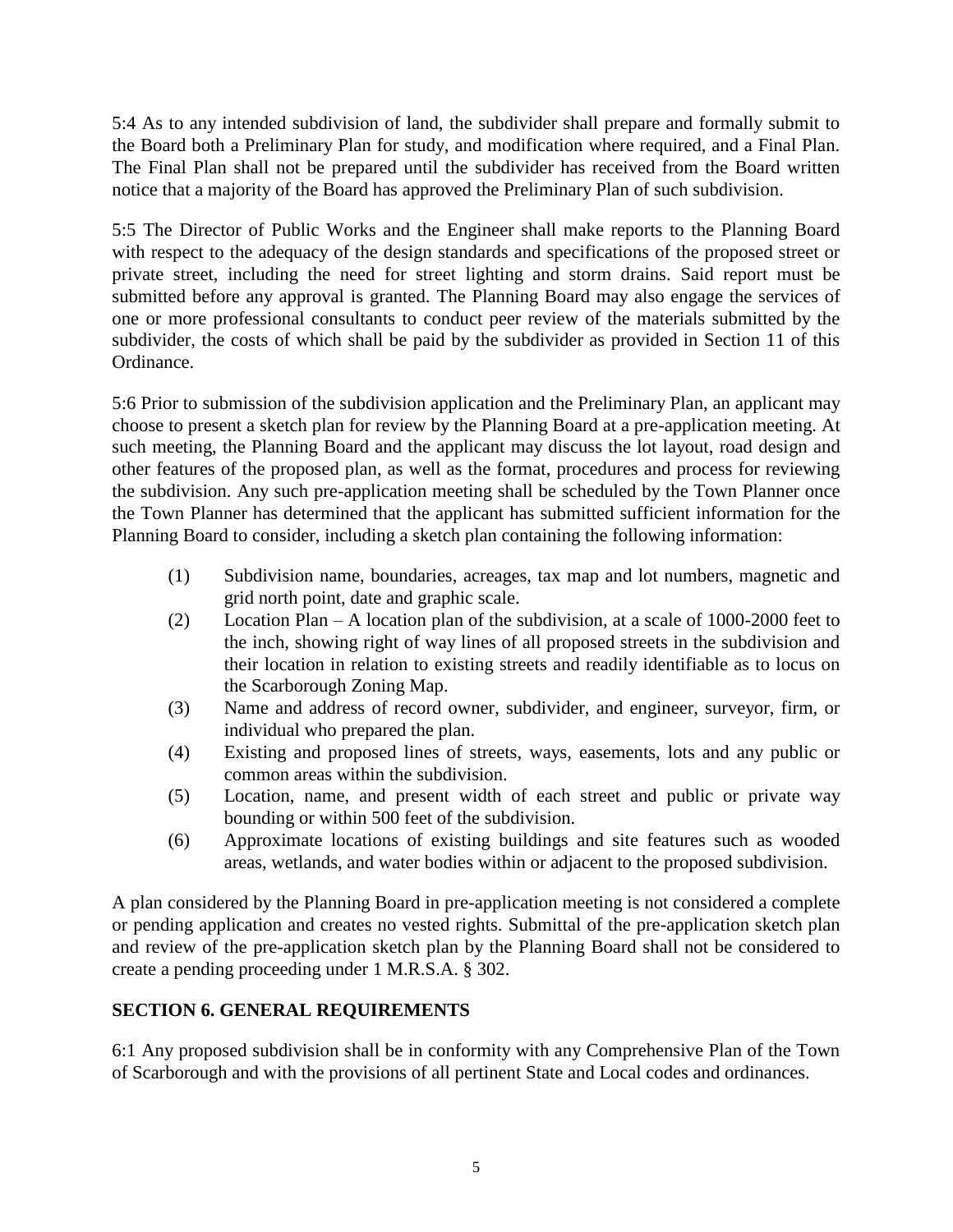5:4 As to any intended subdivision of land, the subdivider shall prepare and formally submit to the Board both a Preliminary Plan for study, and modification where required, and a Final Plan. The Final Plan shall not be prepared until the subdivider has received from the Board written notice that a majority of the Board has approved the Preliminary Plan of such subdivision.

5:5 The Director of Public Works and the Engineer shall make reports to the Planning Board with respect to the adequacy of the design standards and specifications of the proposed street or private street, including the need for street lighting and storm drains. Said report must be submitted before any approval is granted. The Planning Board may also engage the services of one or more professional consultants to conduct peer review of the materials submitted by the subdivider, the costs of which shall be paid by the subdivider as provided in Section 11 of this Ordinance.

5:6 Prior to submission of the subdivision application and the Preliminary Plan, an applicant may choose to present a sketch plan for review by the Planning Board at a pre-application meeting. At such meeting, the Planning Board and the applicant may discuss the lot layout, road design and other features of the proposed plan, as well as the format, procedures and process for reviewing the subdivision. Any such pre-application meeting shall be scheduled by the Town Planner once the Town Planner has determined that the applicant has submitted sufficient information for the Planning Board to consider, including a sketch plan containing the following information:

- (1) Subdivision name, boundaries, acreages, tax map and lot numbers, magnetic and grid north point, date and graphic scale.
- (2) Location Plan A location plan of the subdivision, at a scale of 1000-2000 feet to the inch, showing right of way lines of all proposed streets in the subdivision and their location in relation to existing streets and readily identifiable as to locus on the Scarborough Zoning Map.
- (3) Name and address of record owner, subdivider, and engineer, surveyor, firm, or individual who prepared the plan.
- (4) Existing and proposed lines of streets, ways, easements, lots and any public or common areas within the subdivision.
- (5) Location, name, and present width of each street and public or private way bounding or within 500 feet of the subdivision.
- (6) Approximate locations of existing buildings and site features such as wooded areas, wetlands, and water bodies within or adjacent to the proposed subdivision.

A plan considered by the Planning Board in pre-application meeting is not considered a complete or pending application and creates no vested rights. Submittal of the pre-application sketch plan and review of the pre-application sketch plan by the Planning Board shall not be considered to create a pending proceeding under 1 M.R.S.A. § 302.

### <span id="page-6-0"></span>**SECTION 6. GENERAL REQUIREMENTS**

6:1 Any proposed subdivision shall be in conformity with any Comprehensive Plan of the Town of Scarborough and with the provisions of all pertinent State and Local codes and ordinances.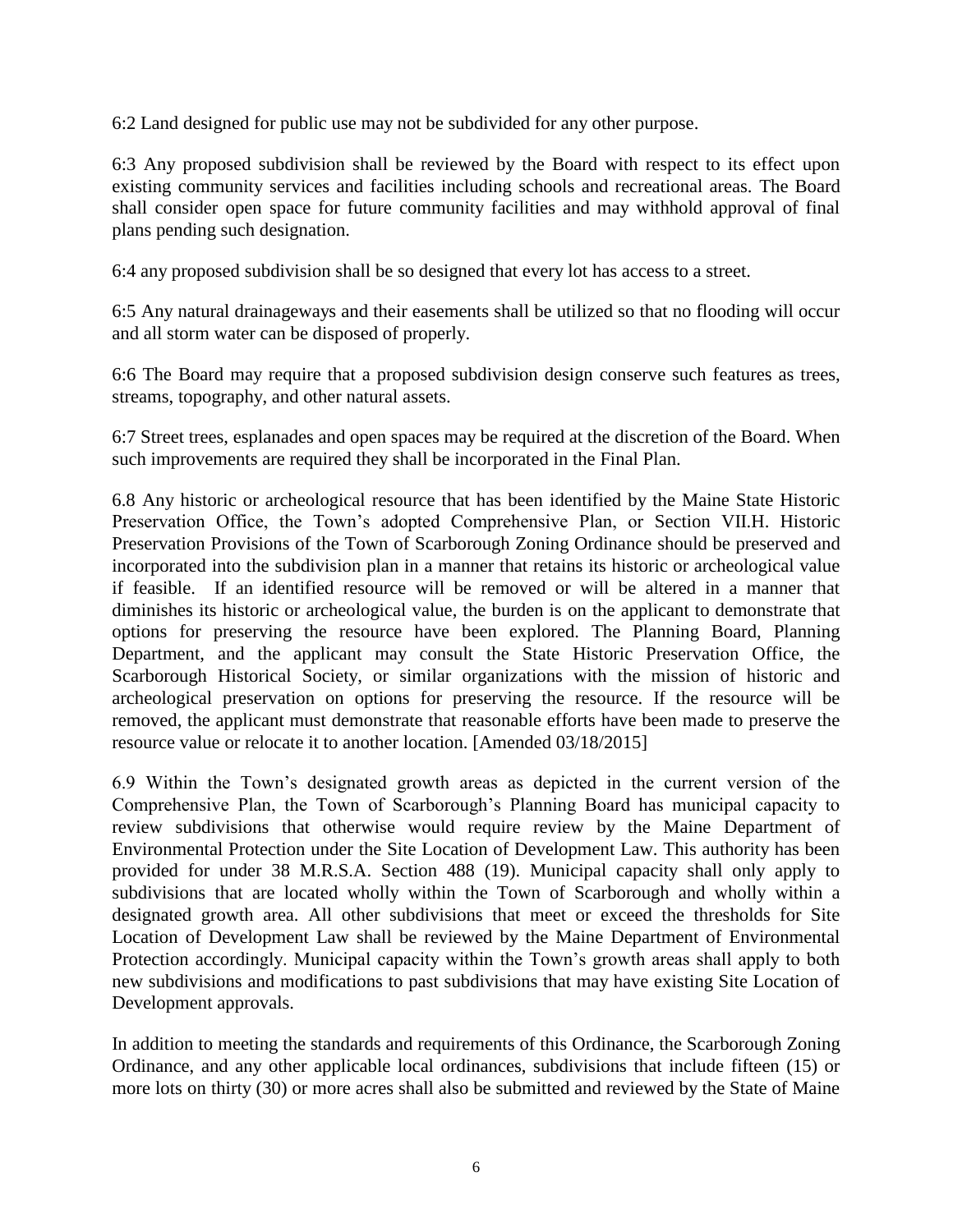6:2 Land designed for public use may not be subdivided for any other purpose.

6:3 Any proposed subdivision shall be reviewed by the Board with respect to its effect upon existing community services and facilities including schools and recreational areas. The Board shall consider open space for future community facilities and may withhold approval of final plans pending such designation.

6:4 any proposed subdivision shall be so designed that every lot has access to a street.

6:5 Any natural drainageways and their easements shall be utilized so that no flooding will occur and all storm water can be disposed of properly.

6:6 The Board may require that a proposed subdivision design conserve such features as trees, streams, topography, and other natural assets.

6:7 Street trees, esplanades and open spaces may be required at the discretion of the Board. When such improvements are required they shall be incorporated in the Final Plan.

6.8 Any historic or archeological resource that has been identified by the Maine State Historic Preservation Office, the Town's adopted Comprehensive Plan, or Section VII.H. Historic Preservation Provisions of the Town of Scarborough Zoning Ordinance should be preserved and incorporated into the subdivision plan in a manner that retains its historic or archeological value if feasible. If an identified resource will be removed or will be altered in a manner that diminishes its historic or archeological value, the burden is on the applicant to demonstrate that options for preserving the resource have been explored. The Planning Board, Planning Department, and the applicant may consult the State Historic Preservation Office, the Scarborough Historical Society, or similar organizations with the mission of historic and archeological preservation on options for preserving the resource. If the resource will be removed, the applicant must demonstrate that reasonable efforts have been made to preserve the resource value or relocate it to another location. [Amended 03/18/2015]

6.9 Within the Town's designated growth areas as depicted in the current version of the Comprehensive Plan, the Town of Scarborough's Planning Board has municipal capacity to review subdivisions that otherwise would require review by the Maine Department of Environmental Protection under the Site Location of Development Law. This authority has been provided for under 38 M.R.S.A. Section 488 (19). Municipal capacity shall only apply to subdivisions that are located wholly within the Town of Scarborough and wholly within a designated growth area. All other subdivisions that meet or exceed the thresholds for Site Location of Development Law shall be reviewed by the Maine Department of Environmental Protection accordingly. Municipal capacity within the Town's growth areas shall apply to both new subdivisions and modifications to past subdivisions that may have existing Site Location of Development approvals.

In addition to meeting the standards and requirements of this Ordinance, the Scarborough Zoning Ordinance, and any other applicable local ordinances, subdivisions that include fifteen (15) or more lots on thirty (30) or more acres shall also be submitted and reviewed by the State of Maine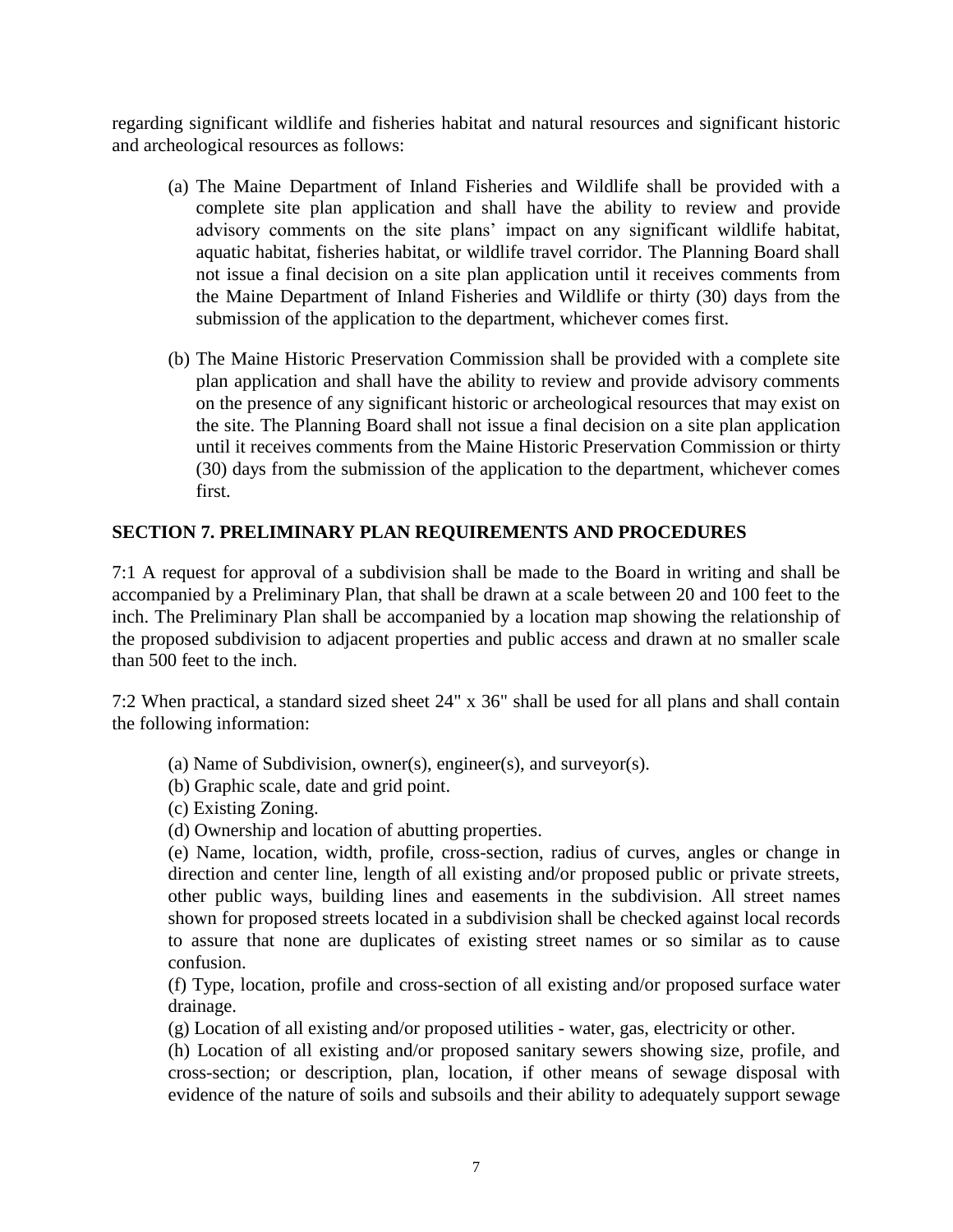regarding significant wildlife and fisheries habitat and natural resources and significant historic and archeological resources as follows:

- (a) The Maine Department of Inland Fisheries and Wildlife shall be provided with a complete site plan application and shall have the ability to review and provide advisory comments on the site plans' impact on any significant wildlife habitat, aquatic habitat, fisheries habitat, or wildlife travel corridor. The Planning Board shall not issue a final decision on a site plan application until it receives comments from the Maine Department of Inland Fisheries and Wildlife or thirty (30) days from the submission of the application to the department, whichever comes first.
- (b) The Maine Historic Preservation Commission shall be provided with a complete site plan application and shall have the ability to review and provide advisory comments on the presence of any significant historic or archeological resources that may exist on the site. The Planning Board shall not issue a final decision on a site plan application until it receives comments from the Maine Historic Preservation Commission or thirty (30) days from the submission of the application to the department, whichever comes first.

#### <span id="page-8-0"></span>**SECTION 7. PRELIMINARY PLAN REQUIREMENTS AND PROCEDURES**

7:1 A request for approval of a subdivision shall be made to the Board in writing and shall be accompanied by a Preliminary Plan, that shall be drawn at a scale between 20 and 100 feet to the inch. The Preliminary Plan shall be accompanied by a location map showing the relationship of the proposed subdivision to adjacent properties and public access and drawn at no smaller scale than 500 feet to the inch.

7:2 When practical, a standard sized sheet 24" x 36" shall be used for all plans and shall contain the following information:

- (a) Name of Subdivision, owner(s), engineer(s), and surveyor(s).
- (b) Graphic scale, date and grid point.
- (c) Existing Zoning.
- (d) Ownership and location of abutting properties.

(e) Name, location, width, profile, cross-section, radius of curves, angles or change in direction and center line, length of all existing and/or proposed public or private streets, other public ways, building lines and easements in the subdivision. All street names shown for proposed streets located in a subdivision shall be checked against local records to assure that none are duplicates of existing street names or so similar as to cause confusion.

(f) Type, location, profile and cross-section of all existing and/or proposed surface water drainage.

(g) Location of all existing and/or proposed utilities - water, gas, electricity or other.

(h) Location of all existing and/or proposed sanitary sewers showing size, profile, and cross-section; or description, plan, location, if other means of sewage disposal with evidence of the nature of soils and subsoils and their ability to adequately support sewage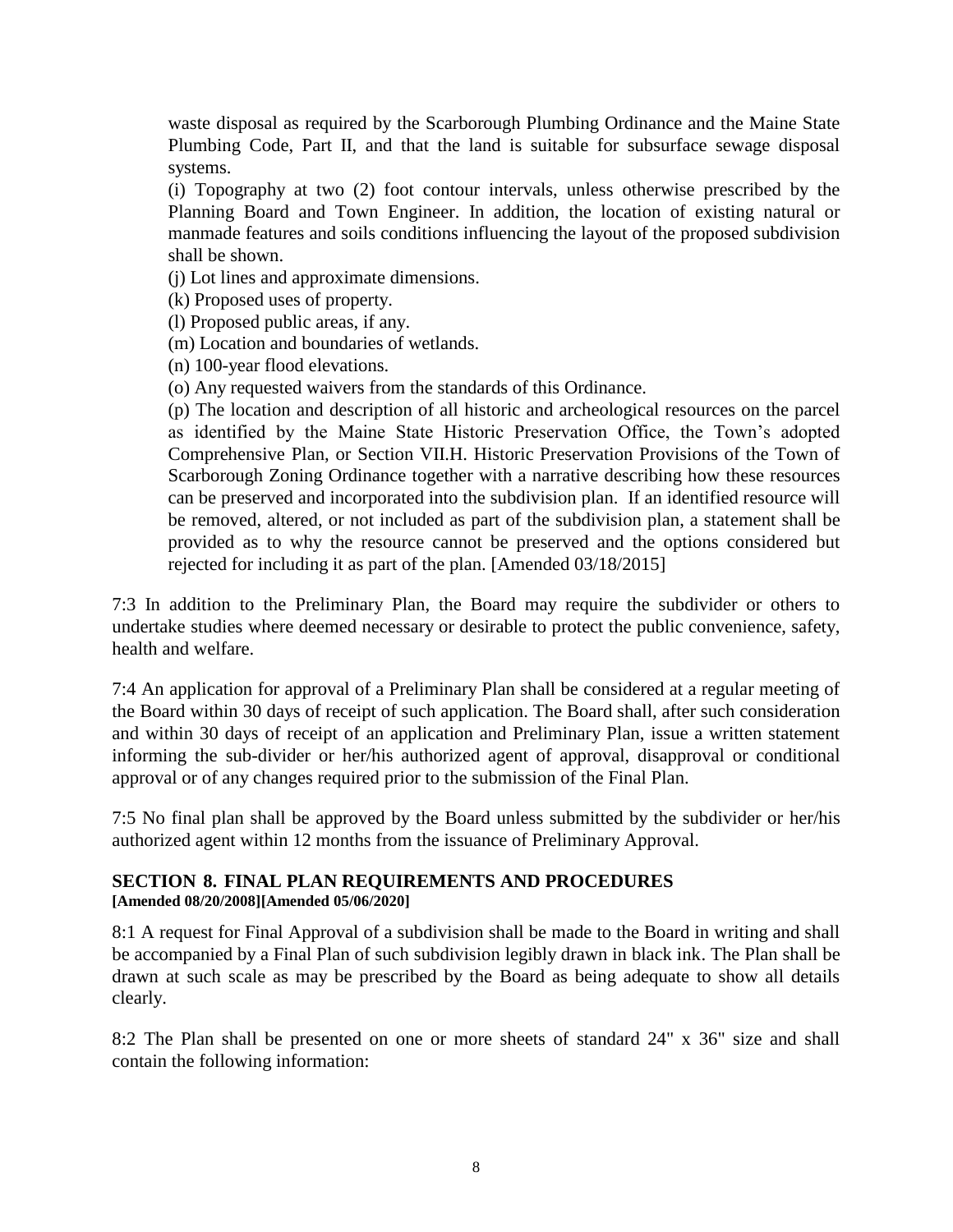waste disposal as required by the Scarborough Plumbing Ordinance and the Maine State Plumbing Code, Part II, and that the land is suitable for subsurface sewage disposal systems.

(i) Topography at two (2) foot contour intervals, unless otherwise prescribed by the Planning Board and Town Engineer. In addition, the location of existing natural or manmade features and soils conditions influencing the layout of the proposed subdivision shall be shown.

(j) Lot lines and approximate dimensions.

(k) Proposed uses of property.

(l) Proposed public areas, if any.

(m) Location and boundaries of wetlands.

(n) 100-year flood elevations.

(o) Any requested waivers from the standards of this Ordinance.

(p) The location and description of all historic and archeological resources on the parcel as identified by the Maine State Historic Preservation Office, the Town's adopted Comprehensive Plan, or Section VII.H. Historic Preservation Provisions of the Town of Scarborough Zoning Ordinance together with a narrative describing how these resources can be preserved and incorporated into the subdivision plan. If an identified resource will be removed, altered, or not included as part of the subdivision plan, a statement shall be provided as to why the resource cannot be preserved and the options considered but rejected for including it as part of the plan. [Amended 03/18/2015]

7:3 In addition to the Preliminary Plan, the Board may require the subdivider or others to undertake studies where deemed necessary or desirable to protect the public convenience, safety, health and welfare.

7:4 An application for approval of a Preliminary Plan shall be considered at a regular meeting of the Board within 30 days of receipt of such application. The Board shall, after such consideration and within 30 days of receipt of an application and Preliminary Plan, issue a written statement informing the sub-divider or her/his authorized agent of approval, disapproval or conditional approval or of any changes required prior to the submission of the Final Plan.

7:5 No final plan shall be approved by the Board unless submitted by the subdivider or her/his authorized agent within 12 months from the issuance of Preliminary Approval.

#### <span id="page-9-0"></span>**SECTION 8. FINAL PLAN REQUIREMENTS AND PROCEDURES [Amended 08/20/2008][Amended 05/06/2020]**

8:1 A request for Final Approval of a subdivision shall be made to the Board in writing and shall be accompanied by a Final Plan of such subdivision legibly drawn in black ink. The Plan shall be drawn at such scale as may be prescribed by the Board as being adequate to show all details clearly.

8:2 The Plan shall be presented on one or more sheets of standard 24" x 36" size and shall contain the following information: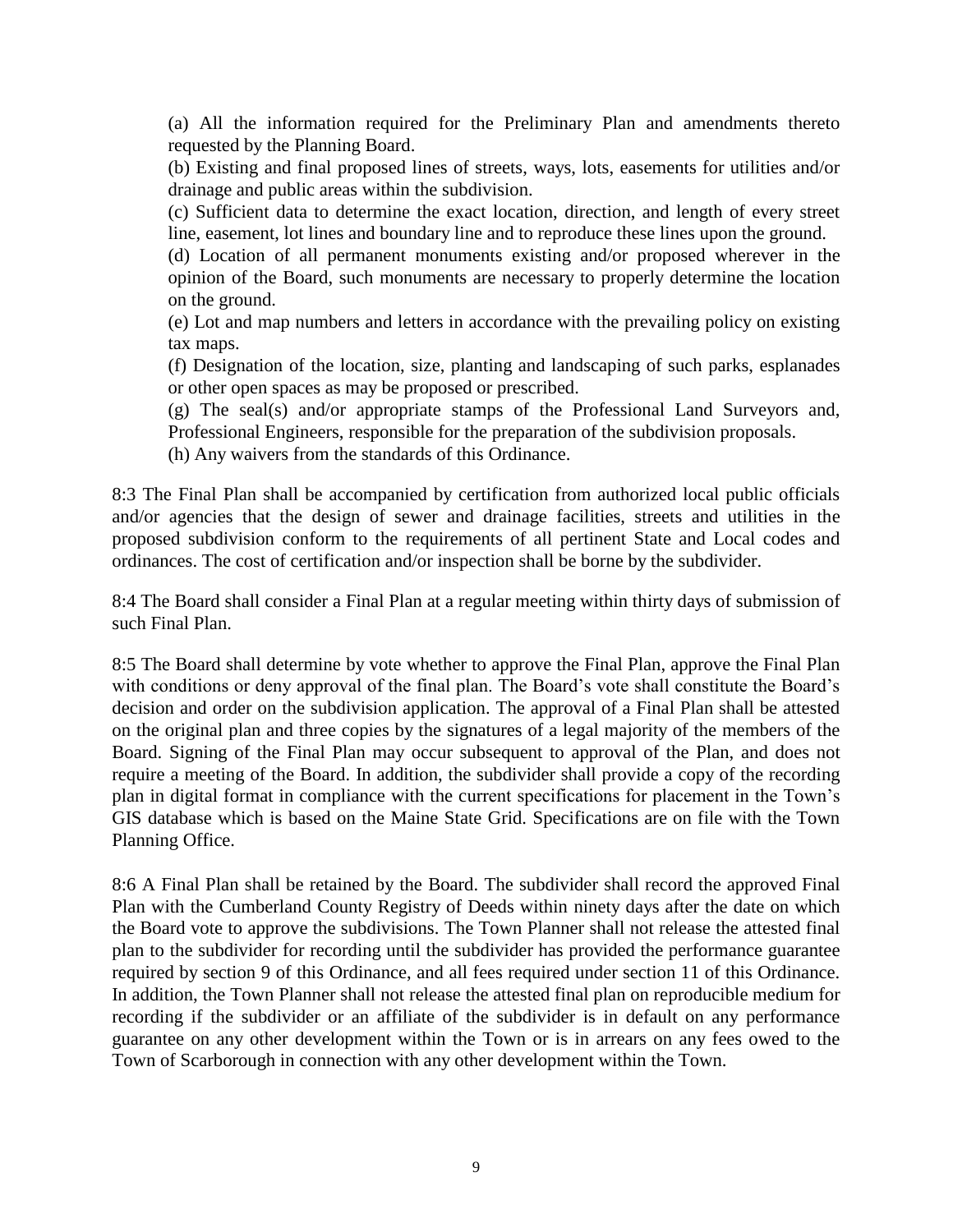(a) All the information required for the Preliminary Plan and amendments thereto requested by the Planning Board.

(b) Existing and final proposed lines of streets, ways, lots, easements for utilities and/or drainage and public areas within the subdivision.

(c) Sufficient data to determine the exact location, direction, and length of every street line, easement, lot lines and boundary line and to reproduce these lines upon the ground.

(d) Location of all permanent monuments existing and/or proposed wherever in the opinion of the Board, such monuments are necessary to properly determine the location on the ground.

(e) Lot and map numbers and letters in accordance with the prevailing policy on existing tax maps.

(f) Designation of the location, size, planting and landscaping of such parks, esplanades or other open spaces as may be proposed or prescribed.

(g) The seal(s) and/or appropriate stamps of the Professional Land Surveyors and, Professional Engineers, responsible for the preparation of the subdivision proposals.

(h) Any waivers from the standards of this Ordinance.

8:3 The Final Plan shall be accompanied by certification from authorized local public officials and/or agencies that the design of sewer and drainage facilities, streets and utilities in the proposed subdivision conform to the requirements of all pertinent State and Local codes and ordinances. The cost of certification and/or inspection shall be borne by the subdivider.

8:4 The Board shall consider a Final Plan at a regular meeting within thirty days of submission of such Final Plan.

8:5 The Board shall determine by vote whether to approve the Final Plan, approve the Final Plan with conditions or deny approval of the final plan. The Board's vote shall constitute the Board's decision and order on the subdivision application. The approval of a Final Plan shall be attested on the original plan and three copies by the signatures of a legal majority of the members of the Board. Signing of the Final Plan may occur subsequent to approval of the Plan, and does not require a meeting of the Board. In addition, the subdivider shall provide a copy of the recording plan in digital format in compliance with the current specifications for placement in the Town's GIS database which is based on the Maine State Grid. Specifications are on file with the Town Planning Office.

8:6 A Final Plan shall be retained by the Board. The subdivider shall record the approved Final Plan with the Cumberland County Registry of Deeds within ninety days after the date on which the Board vote to approve the subdivisions. The Town Planner shall not release the attested final plan to the subdivider for recording until the subdivider has provided the performance guarantee required by section 9 of this Ordinance, and all fees required under section 11 of this Ordinance. In addition, the Town Planner shall not release the attested final plan on reproducible medium for recording if the subdivider or an affiliate of the subdivider is in default on any performance guarantee on any other development within the Town or is in arrears on any fees owed to the Town of Scarborough in connection with any other development within the Town.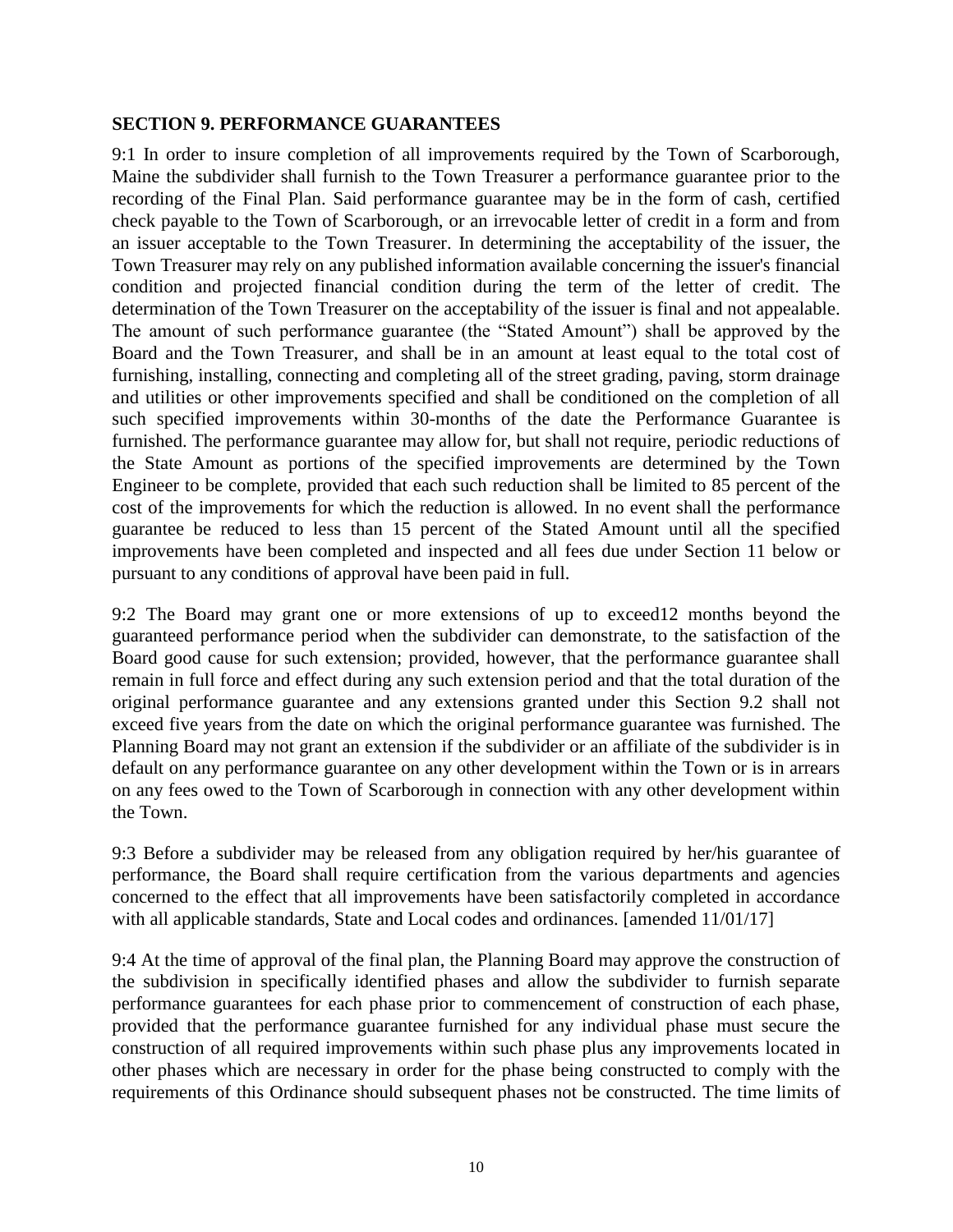#### <span id="page-11-0"></span>**SECTION 9. PERFORMANCE GUARANTEES**

9:1 In order to insure completion of all improvements required by the Town of Scarborough, Maine the subdivider shall furnish to the Town Treasurer a performance guarantee prior to the recording of the Final Plan. Said performance guarantee may be in the form of cash, certified check payable to the Town of Scarborough, or an irrevocable letter of credit in a form and from an issuer acceptable to the Town Treasurer. In determining the acceptability of the issuer, the Town Treasurer may rely on any published information available concerning the issuer's financial condition and projected financial condition during the term of the letter of credit. The determination of the Town Treasurer on the acceptability of the issuer is final and not appealable. The amount of such performance guarantee (the "Stated Amount") shall be approved by the Board and the Town Treasurer, and shall be in an amount at least equal to the total cost of furnishing, installing, connecting and completing all of the street grading, paving, storm drainage and utilities or other improvements specified and shall be conditioned on the completion of all such specified improvements within 30-months of the date the Performance Guarantee is furnished. The performance guarantee may allow for, but shall not require, periodic reductions of the State Amount as portions of the specified improvements are determined by the Town Engineer to be complete, provided that each such reduction shall be limited to 85 percent of the cost of the improvements for which the reduction is allowed. In no event shall the performance guarantee be reduced to less than 15 percent of the Stated Amount until all the specified improvements have been completed and inspected and all fees due under Section 11 below or pursuant to any conditions of approval have been paid in full.

9:2 The Board may grant one or more extensions of up to exceed12 months beyond the guaranteed performance period when the subdivider can demonstrate, to the satisfaction of the Board good cause for such extension; provided, however, that the performance guarantee shall remain in full force and effect during any such extension period and that the total duration of the original performance guarantee and any extensions granted under this Section 9.2 shall not exceed five years from the date on which the original performance guarantee was furnished. The Planning Board may not grant an extension if the subdivider or an affiliate of the subdivider is in default on any performance guarantee on any other development within the Town or is in arrears on any fees owed to the Town of Scarborough in connection with any other development within the Town.

9:3 Before a subdivider may be released from any obligation required by her/his guarantee of performance, the Board shall require certification from the various departments and agencies concerned to the effect that all improvements have been satisfactorily completed in accordance with all applicable standards, State and Local codes and ordinances. [amended 11/01/17]

9:4 At the time of approval of the final plan, the Planning Board may approve the construction of the subdivision in specifically identified phases and allow the subdivider to furnish separate performance guarantees for each phase prior to commencement of construction of each phase, provided that the performance guarantee furnished for any individual phase must secure the construction of all required improvements within such phase plus any improvements located in other phases which are necessary in order for the phase being constructed to comply with the requirements of this Ordinance should subsequent phases not be constructed. The time limits of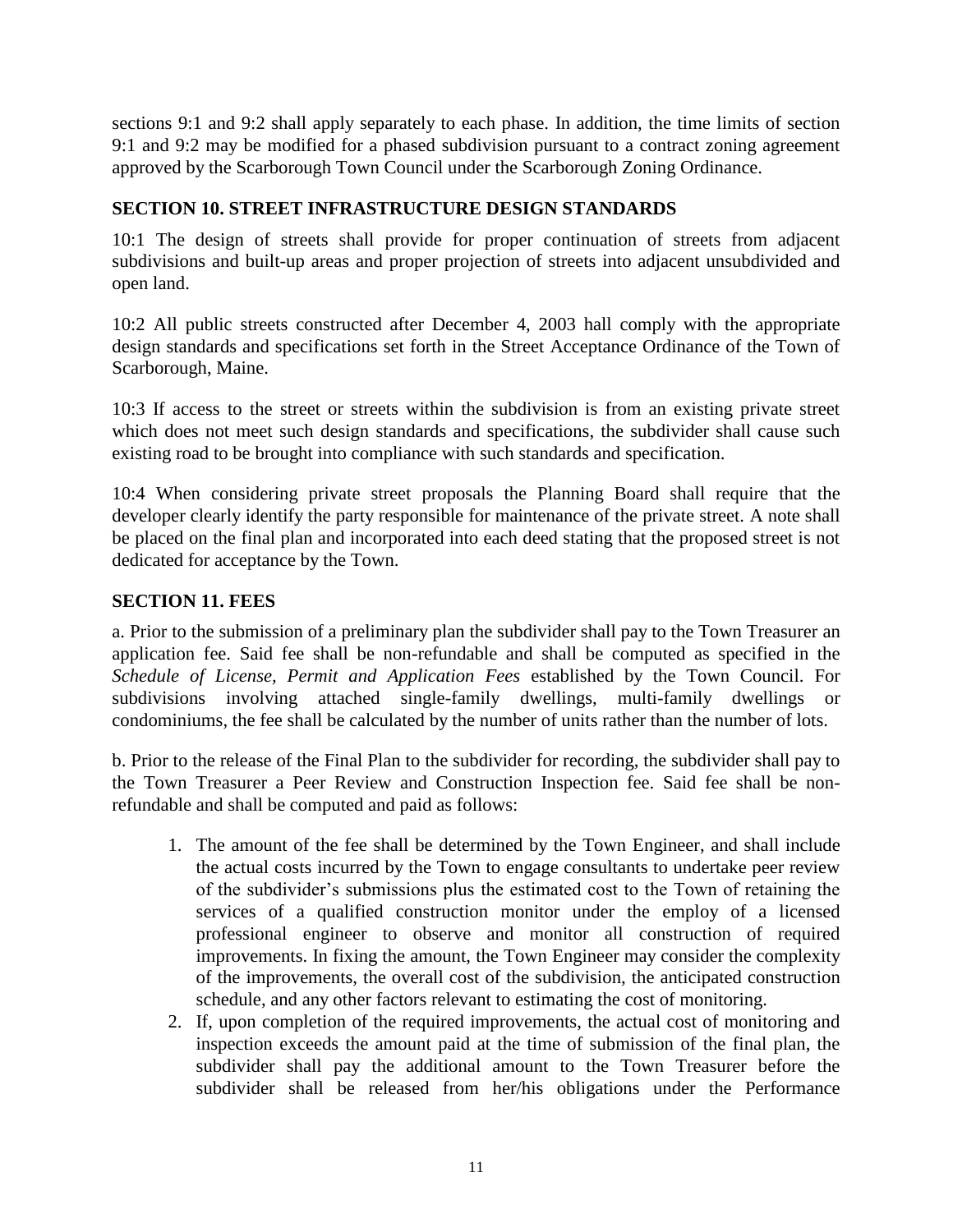sections 9:1 and 9:2 shall apply separately to each phase. In addition, the time limits of section 9:1 and 9:2 may be modified for a phased subdivision pursuant to a contract zoning agreement approved by the Scarborough Town Council under the Scarborough Zoning Ordinance.

#### <span id="page-12-0"></span>**SECTION 10. STREET INFRASTRUCTURE DESIGN STANDARDS**

10:1 The design of streets shall provide for proper continuation of streets from adjacent subdivisions and built-up areas and proper projection of streets into adjacent unsubdivided and open land.

10:2 All public streets constructed after December 4, 2003 hall comply with the appropriate design standards and specifications set forth in the Street Acceptance Ordinance of the Town of Scarborough, Maine.

10:3 If access to the street or streets within the subdivision is from an existing private street which does not meet such design standards and specifications, the subdivider shall cause such existing road to be brought into compliance with such standards and specification.

10:4 When considering private street proposals the Planning Board shall require that the developer clearly identify the party responsible for maintenance of the private street. A note shall be placed on the final plan and incorporated into each deed stating that the proposed street is not dedicated for acceptance by the Town.

#### <span id="page-12-1"></span>**SECTION 11. FEES**

a. Prior to the submission of a preliminary plan the subdivider shall pay to the Town Treasurer an application fee. Said fee shall be non-refundable and shall be computed as specified in the *Schedule of License, Permit and Application Fees* established by the Town Council. For subdivisions involving attached single-family dwellings, multi-family dwellings or condominiums, the fee shall be calculated by the number of units rather than the number of lots.

b. Prior to the release of the Final Plan to the subdivider for recording, the subdivider shall pay to the Town Treasurer a Peer Review and Construction Inspection fee. Said fee shall be nonrefundable and shall be computed and paid as follows:

- 1. The amount of the fee shall be determined by the Town Engineer, and shall include the actual costs incurred by the Town to engage consultants to undertake peer review of the subdivider's submissions plus the estimated cost to the Town of retaining the services of a qualified construction monitor under the employ of a licensed professional engineer to observe and monitor all construction of required improvements. In fixing the amount, the Town Engineer may consider the complexity of the improvements, the overall cost of the subdivision, the anticipated construction schedule, and any other factors relevant to estimating the cost of monitoring.
- 2. If, upon completion of the required improvements, the actual cost of monitoring and inspection exceeds the amount paid at the time of submission of the final plan, the subdivider shall pay the additional amount to the Town Treasurer before the subdivider shall be released from her/his obligations under the Performance